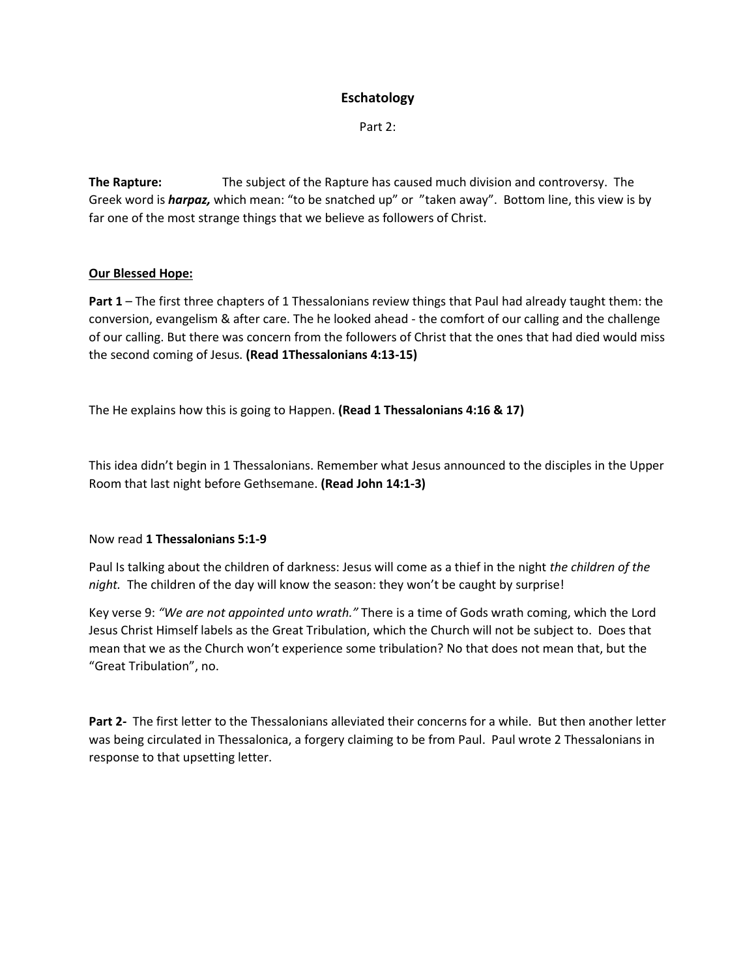# **Eschatology**

Part 2:

**The Rapture:** The subject of the Rapture has caused much division and controversy. The Greek word is *harpaz,* which mean: "to be snatched up" or "taken away". Bottom line, this view is by far one of the most strange things that we believe as followers of Christ.

## **Our Blessed Hope:**

**Part 1** – The first three chapters of 1 Thessalonians review things that Paul had already taught them: the conversion, evangelism & after care. The he looked ahead - the comfort of our calling and the challenge of our calling. But there was concern from the followers of Christ that the ones that had died would miss the second coming of Jesus. **(Read 1Thessalonians 4:13-15)**

The He explains how this is going to Happen. **(Read 1 Thessalonians 4:16 & 17)**

This idea didn't begin in 1 Thessalonians. Remember what Jesus announced to the disciples in the Upper Room that last night before Gethsemane. **(Read John 14:1-3)**

## Now read **1 Thessalonians 5:1-9**

Paul Is talking about the children of darkness: Jesus will come as a thief in the night *the children of the night.* The children of the day will know the season: they won't be caught by surprise!

Key verse 9: *"We are not appointed unto wrath."* There is a time of Gods wrath coming, which the Lord Jesus Christ Himself labels as the Great Tribulation, which the Church will not be subject to. Does that mean that we as the Church won't experience some tribulation? No that does not mean that, but the "Great Tribulation", no.

**Part 2-** The first letter to the Thessalonians alleviated their concerns for a while. But then another letter was being circulated in Thessalonica, a forgery claiming to be from Paul. Paul wrote 2 Thessalonians in response to that upsetting letter.